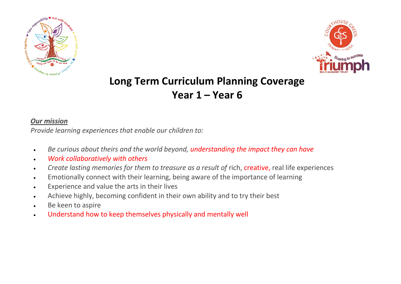



## **Long Term Curriculum Planning Coverage Year 1 – Year 6**

## *Our mission*

*Provide learning experiences that enable our children to:*

- *Be curious about theirs and the world beyond, understanding the impact they can have*
- *Work collaboratively with others*
- *Create lasting memories for them to treasure as a result of* rich, creative, real life experiences
- Emotionally connect with their learning, being aware of the importance of learning
- Experience and value the arts in their lives
- Achieve highly, becoming confident in their own ability and to try their best
- **Be keen to aspire**
- Understand how to keep themselves physically and mentally well